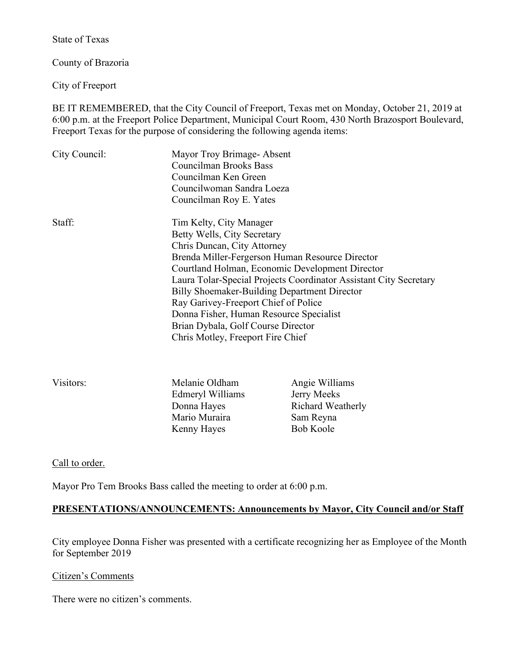State of Texas

County of Brazoria

City of Freeport

BE IT REMEMBERED, that the City Council of Freeport, Texas met on Monday, October 21, 2019 at 6:00 p.m. at the Freeport Police Department, Municipal Court Room, 430 North Brazosport Boulevard, Freeport Texas for the purpose of considering the following agenda items:

| City Council: | Mayor Troy Brimage-Absent<br>Councilman Brooks Bass<br>Councilman Ken Green<br>Councilwoman Sandra Loeza<br>Councilman Roy E. Yates                                                                                                                                                                                                                                                                                                                                            |                |
|---------------|--------------------------------------------------------------------------------------------------------------------------------------------------------------------------------------------------------------------------------------------------------------------------------------------------------------------------------------------------------------------------------------------------------------------------------------------------------------------------------|----------------|
| Staff:        | Tim Kelty, City Manager<br>Betty Wells, City Secretary<br>Chris Duncan, City Attorney<br>Brenda Miller-Fergerson Human Resource Director<br>Courtland Holman, Economic Development Director<br>Laura Tolar-Special Projects Coordinator Assistant City Secretary<br>Billy Shoemaker-Building Department Director<br>Ray Garivey-Freeport Chief of Police<br>Donna Fisher, Human Resource Specialist<br>Brian Dybala, Golf Course Director<br>Chris Motley, Freeport Fire Chief |                |
| Visitors:     | Melanie Oldham                                                                                                                                                                                                                                                                                                                                                                                                                                                                 | Angie Williams |

Edmeryl Williams Jerry Meeks Mario Muraira Sam Reyna Kenny Hayes Bob Koole

Donna Hayes Richard Weatherly

Call to order.

Mayor Pro Tem Brooks Bass called the meeting to order at 6:00 p.m.

#### **PRESENTATIONS/ANNOUNCEMENTS: Announcements by Mayor, City Council and/or Staff**

City employee Donna Fisher was presented with a certificate recognizing her as Employee of the Month for September 2019

#### Citizen's Comments

There were no citizen's comments.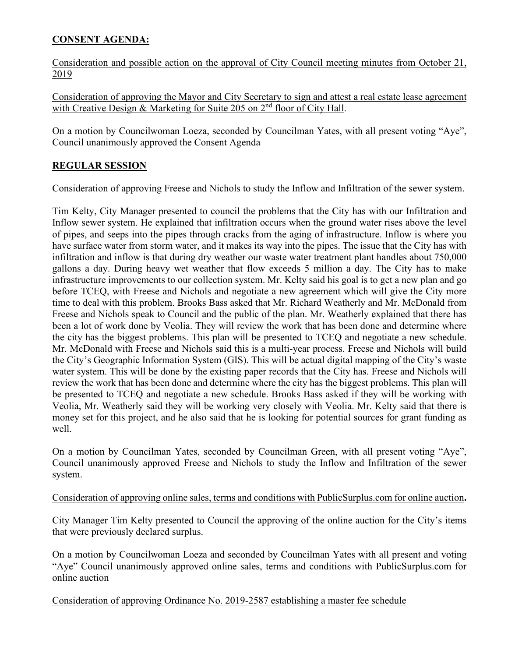# **CONSENT AGENDA:**

Consideration and possible action on the approval of City Council meeting minutes from October 21, 2019

Consideration of approving the Mayor and City Secretary to sign and attest a real estate lease agreement with Creative Design & Marketing for Suite 205 on 2<sup>nd</sup> floor of City Hall.

On a motion by Councilwoman Loeza, seconded by Councilman Yates, with all present voting "Aye", Council unanimously approved the Consent Agenda

# **REGULAR SESSION**

## Consideration of approving Freese and Nichols to study the Inflow and Infiltration of the sewer system.

Tim Kelty, City Manager presented to council the problems that the City has with our Infiltration and Inflow sewer system. He explained that infiltration occurs when the ground water rises above the level of pipes, and seeps into the pipes through cracks from the aging of infrastructure. Inflow is where you have surface water from storm water, and it makes its way into the pipes. The issue that the City has with infiltration and inflow is that during dry weather our waste water treatment plant handles about 750,000 gallons a day. During heavy wet weather that flow exceeds 5 million a day. The City has to make infrastructure improvements to our collection system. Mr. Kelty said his goal is to get a new plan and go before TCEQ, with Freese and Nichols and negotiate a new agreement which will give the City more time to deal with this problem. Brooks Bass asked that Mr. Richard Weatherly and Mr. McDonald from Freese and Nichols speak to Council and the public of the plan. Mr. Weatherly explained that there has been a lot of work done by Veolia. They will review the work that has been done and determine where the city has the biggest problems. This plan will be presented to TCEQ and negotiate a new schedule. Mr. McDonald with Freese and Nichols said this is a multi-year process. Freese and Nichols will build the City's Geographic Information System (GIS). This will be actual digital mapping of the City's waste water system. This will be done by the existing paper records that the City has. Freese and Nichols will review the work that has been done and determine where the city has the biggest problems. This plan will be presented to TCEQ and negotiate a new schedule. Brooks Bass asked if they will be working with Veolia, Mr. Weatherly said they will be working very closely with Veolia. Mr. Kelty said that there is money set for this project, and he also said that he is looking for potential sources for grant funding as well.

On a motion by Councilman Yates, seconded by Councilman Green, with all present voting "Aye", Council unanimously approved Freese and Nichols to study the Inflow and Infiltration of the sewer system.

#### Consideration of approving online sales, terms and conditions with PublicSurplus.com for online auction**.**

City Manager Tim Kelty presented to Council the approving of the online auction for the City's items that were previously declared surplus.

On a motion by Councilwoman Loeza and seconded by Councilman Yates with all present and voting "Aye" Council unanimously approved online sales, terms and conditions with PublicSurplus.com for online auction

Consideration of approving Ordinance No. 2019-2587 establishing a master fee schedule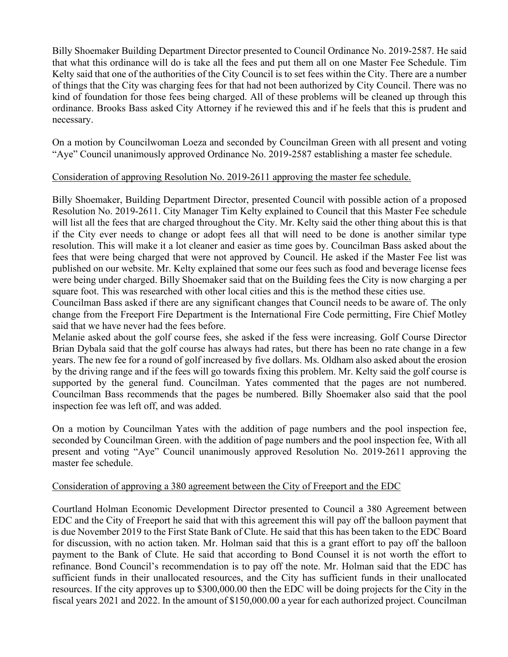Billy Shoemaker Building Department Director presented to Council Ordinance No. 2019-2587. He said that what this ordinance will do is take all the fees and put them all on one Master Fee Schedule. Tim Kelty said that one of the authorities of the City Council is to set fees within the City. There are a number of things that the City was charging fees for that had not been authorized by City Council. There was no kind of foundation for those fees being charged. All of these problems will be cleaned up through this ordinance. Brooks Bass asked City Attorney if he reviewed this and if he feels that this is prudent and necessary.

On a motion by Councilwoman Loeza and seconded by Councilman Green with all present and voting "Aye" Council unanimously approved Ordinance No. 2019-2587 establishing a master fee schedule.

## Consideration of approving Resolution No. 2019-2611 approving the master fee schedule.

Billy Shoemaker, Building Department Director, presented Council with possible action of a proposed Resolution No. 2019-2611. City Manager Tim Kelty explained to Council that this Master Fee schedule will list all the fees that are charged throughout the City. Mr. Kelty said the other thing about this is that if the City ever needs to change or adopt fees all that will need to be done is another similar type resolution. This will make it a lot cleaner and easier as time goes by. Councilman Bass asked about the fees that were being charged that were not approved by Council. He asked if the Master Fee list was published on our website. Mr. Kelty explained that some our fees such as food and beverage license fees were being under charged. Billy Shoemaker said that on the Building fees the City is now charging a per square foot. This was researched with other local cities and this is the method these cities use.

Councilman Bass asked if there are any significant changes that Council needs to be aware of. The only change from the Freeport Fire Department is the International Fire Code permitting, Fire Chief Motley said that we have never had the fees before.

Melanie asked about the golf course fees, she asked if the fess were increasing. Golf Course Director Brian Dybala said that the golf course has always had rates, but there has been no rate change in a few years. The new fee for a round of golf increased by five dollars. Ms. Oldham also asked about the erosion by the driving range and if the fees will go towards fixing this problem. Mr. Kelty said the golf course is supported by the general fund. Councilman. Yates commented that the pages are not numbered. Councilman Bass recommends that the pages be numbered. Billy Shoemaker also said that the pool inspection fee was left off, and was added.

On a motion by Councilman Yates with the addition of page numbers and the pool inspection fee, seconded by Councilman Green. with the addition of page numbers and the pool inspection fee, With all present and voting "Aye" Council unanimously approved Resolution No. 2019-2611 approving the master fee schedule.

#### Consideration of approving a 380 agreement between the City of Freeport and the EDC

Courtland Holman Economic Development Director presented to Council a 380 Agreement between EDC and the City of Freeport he said that with this agreement this will pay off the balloon payment that is due November 2019 to the First State Bank of Clute. He said that this has been taken to the EDC Board for discussion, with no action taken. Mr. Holman said that this is a grant effort to pay off the balloon payment to the Bank of Clute. He said that according to Bond Counsel it is not worth the effort to refinance. Bond Council's recommendation is to pay off the note. Mr. Holman said that the EDC has sufficient funds in their unallocated resources, and the City has sufficient funds in their unallocated resources. If the city approves up to \$300,000.00 then the EDC will be doing projects for the City in the fiscal years 2021 and 2022. In the amount of \$150,000.00 a year for each authorized project. Councilman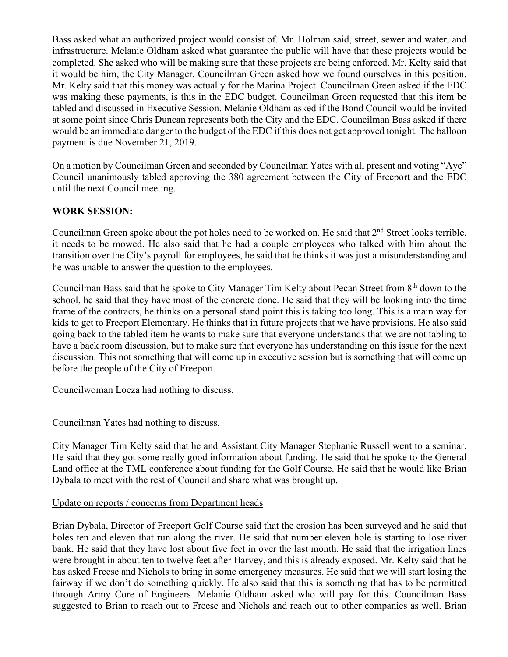Bass asked what an authorized project would consist of. Mr. Holman said, street, sewer and water, and infrastructure. Melanie Oldham asked what guarantee the public will have that these projects would be completed. She asked who will be making sure that these projects are being enforced. Mr. Kelty said that it would be him, the City Manager. Councilman Green asked how we found ourselves in this position. Mr. Kelty said that this money was actually for the Marina Project. Councilman Green asked if the EDC was making these payments, is this in the EDC budget. Councilman Green requested that this item be tabled and discussed in Executive Session. Melanie Oldham asked if the Bond Council would be invited at some point since Chris Duncan represents both the City and the EDC. Councilman Bass asked if there would be an immediate danger to the budget of the EDC if this does not get approved tonight. The balloon payment is due November 21, 2019.

On a motion by Councilman Green and seconded by Councilman Yates with all present and voting "Aye" Council unanimously tabled approving the 380 agreement between the City of Freeport and the EDC until the next Council meeting.

# **WORK SESSION:**

Councilman Green spoke about the pot holes need to be worked on. He said that  $2<sup>nd</sup>$  Street looks terrible, it needs to be mowed. He also said that he had a couple employees who talked with him about the transition over the City's payroll for employees, he said that he thinks it was just a misunderstanding and he was unable to answer the question to the employees.

Councilman Bass said that he spoke to City Manager Tim Kelty about Pecan Street from 8th down to the school, he said that they have most of the concrete done. He said that they will be looking into the time frame of the contracts, he thinks on a personal stand point this is taking too long. This is a main way for kids to get to Freeport Elementary. He thinks that in future projects that we have provisions. He also said going back to the tabled item he wants to make sure that everyone understands that we are not tabling to have a back room discussion, but to make sure that everyone has understanding on this issue for the next discussion. This not something that will come up in executive session but is something that will come up before the people of the City of Freeport.

Councilwoman Loeza had nothing to discuss.

Councilman Yates had nothing to discuss.

City Manager Tim Kelty said that he and Assistant City Manager Stephanie Russell went to a seminar. He said that they got some really good information about funding. He said that he spoke to the General Land office at the TML conference about funding for the Golf Course. He said that he would like Brian Dybala to meet with the rest of Council and share what was brought up.

#### Update on reports / concerns from Department heads

Brian Dybala, Director of Freeport Golf Course said that the erosion has been surveyed and he said that holes ten and eleven that run along the river. He said that number eleven hole is starting to lose river bank. He said that they have lost about five feet in over the last month. He said that the irrigation lines were brought in about ten to twelve feet after Harvey, and this is already exposed. Mr. Kelty said that he has asked Freese and Nichols to bring in some emergency measures. He said that we will start losing the fairway if we don't do something quickly. He also said that this is something that has to be permitted through Army Core of Engineers. Melanie Oldham asked who will pay for this. Councilman Bass suggested to Brian to reach out to Freese and Nichols and reach out to other companies as well. Brian